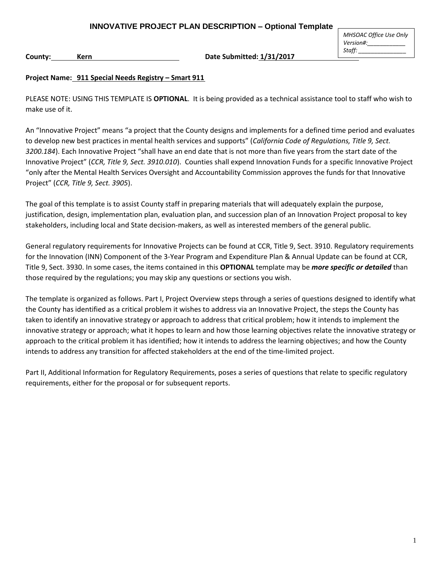*MHSOAC Office Use Only Version#:\_\_\_\_\_\_\_\_\_\_\_\_ Staff: \_\_\_\_\_\_\_\_\_\_\_\_\_\_\_*

**County: Kern Date Submitted: 1/31/2017**

#### **Project Name: 911 Special Needs Registry – Smart 911**

PLEASE NOTE: USING THIS TEMPLATE IS **OPTIONAL**. It is being provided as a technical assistance tool to staff who wish to make use of it.

An "Innovative Project" means "a project that the County designs and implements for a defined time period and evaluates to develop new best practices in mental health services and supports" (*California Code of Regulations, Title 9, Sect. 3200.184*). Each Innovative Project "shall have an end date that is not more than five years from the start date of the Innovative Project" (*CCR, Title 9, Sect. 3910.010*). Counties shall expend Innovation Funds for a specific Innovative Project "only after the Mental Health Services Oversight and Accountability Commission approves the funds for that Innovative Project" (*CCR, Title 9, Sect. 3905*).

The goal of this template is to assist County staff in preparing materials that will adequately explain the purpose, justification, design, implementation plan, evaluation plan, and succession plan of an Innovation Project proposal to key stakeholders, including local and State decision-makers, as well as interested members of the general public.

General regulatory requirements for Innovative Projects can be found at CCR, Title 9, Sect. 3910. Regulatory requirements for the Innovation (INN) Component of the 3-Year Program and Expenditure Plan & Annual Update can be found at CCR, Title 9, Sect. 3930. In some cases, the items contained in this **OPTIONAL** template may be *more specific or detailed* than those required by the regulations; you may skip any questions or sections you wish.

The template is organized as follows. Part I, Project Overview steps through a series of questions designed to identify what the County has identified as a critical problem it wishes to address via an Innovative Project, the steps the County has taken to identify an innovative strategy or approach to address that critical problem; how it intends to implement the innovative strategy or approach; what it hopes to learn and how those learning objectives relate the innovative strategy or approach to the critical problem it has identified; how it intends to address the learning objectives; and how the County intends to address any transition for affected stakeholders at the end of the time-limited project.

Part II, Additional Information for Regulatory Requirements, poses a series of questions that relate to specific regulatory requirements, either for the proposal or for subsequent reports.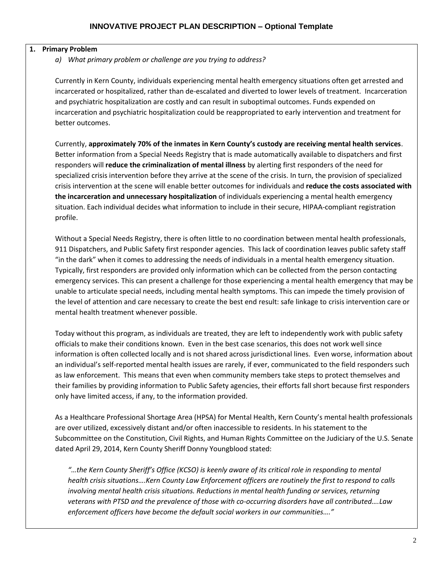### **1. Primary Problem**

*a) What primary problem or challenge are you trying to address?* 

Currently in Kern County, individuals experiencing mental health emergency situations often get arrested and incarcerated or hospitalized, rather than de-escalated and diverted to lower levels of treatment. Incarceration and psychiatric hospitalization are costly and can result in suboptimal outcomes. Funds expended on incarceration and psychiatric hospitalization could be reappropriated to early intervention and treatment for better outcomes.

Currently, **approximately 70% of the inmates in Kern County's custody are receiving mental health services**. Better information from a Special Needs Registry that is made automatically available to dispatchers and first responders will **reduce the criminalization of mental illness** by alerting first responders of the need for specialized crisis intervention before they arrive at the scene of the crisis. In turn, the provision of specialized crisis intervention at the scene will enable better outcomes for individuals and **reduce the costs associated with the incarceration and unnecessary hospitalization** of individuals experiencing a mental health emergency situation. Each individual decides what information to include in their secure, HIPAA-compliant registration profile.

Without a Special Needs Registry, there is often little to no coordination between mental health professionals, 911 Dispatchers, and Public Safety first responder agencies. This lack of coordination leaves public safety staff "in the dark" when it comes to addressing the needs of individuals in a mental health emergency situation. Typically, first responders are provided only information which can be collected from the person contacting emergency services. This can present a challenge for those experiencing a mental health emergency that may be unable to articulate special needs, including mental health symptoms. This can impede the timely provision of the level of attention and care necessary to create the best end result: safe linkage to crisis intervention care or mental health treatment whenever possible.

Today without this program, as individuals are treated, they are left to independently work with public safety officials to make their conditions known. Even in the best case scenarios, this does not work well since information is often collected locally and is not shared across jurisdictional lines. Even worse, information about an individual's self-reported mental health issues are rarely, if ever, communicated to the field responders such as law enforcement. This means that even when community members take steps to protect themselves and their families by providing information to Public Safety agencies, their efforts fall short because first responders only have limited access, if any, to the information provided.

As a Healthcare Professional Shortage Area (HPSA) for Mental Health, Kern County's mental health professionals are over utilized, excessively distant and/or often inaccessible to residents. In his statement to the Subcommittee on the Constitution, Civil Rights, and Human Rights Committee on the Judiciary of the U.S. Senate dated April 29, 2014, Kern County Sheriff Donny Youngblood stated:

*"…the Kern County Sheriff's Office (KCSO) is keenly aware of its critical role in responding to mental health crisis situations….Kern County Law Enforcement officers are routinely the first to respond to calls involving mental health crisis situations. Reductions in mental health funding or services, returning veterans with PTSD and the prevalence of those with co-occurring disorders have all contributed….Law enforcement officers have become the default social workers in our communities…."*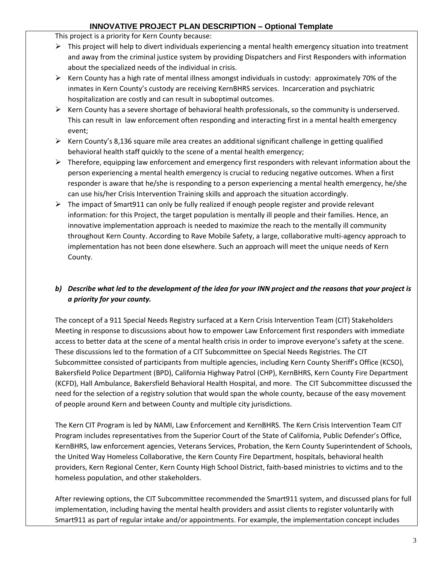This project is a priority for Kern County because:

- $\triangleright$  This project will help to divert individuals experiencing a mental health emergency situation into treatment and away from the criminal justice system by providing Dispatchers and First Responders with information about the specialized needs of the individual in crisis.
- $\triangleright$  Kern County has a high rate of mental illness amongst individuals in custody: approximately 70% of the inmates in Kern County's custody are receiving KernBHRS services. Incarceration and psychiatric hospitalization are costly and can result in suboptimal outcomes.
- $\triangleright$  Kern County has a severe shortage of behavioral health professionals, so the community is underserved. This can result in law enforcement often responding and interacting first in a mental health emergency event;
- $\triangleright$  Kern County's 8,136 square mile area creates an additional significant challenge in getting qualified behavioral health staff quickly to the scene of a mental health emergency;
- $\triangleright$  Therefore, equipping law enforcement and emergency first responders with relevant information about the person experiencing a mental health emergency is crucial to reducing negative outcomes. When a first responder is aware that he/she is responding to a person experiencing a mental health emergency, he/she can use his/her Crisis Intervention Training skills and approach the situation accordingly.
- $\triangleright$  The impact of Smart911 can only be fully realized if enough people register and provide relevant information: for this Project, the target population is mentally ill people and their families. Hence, an innovative implementation approach is needed to maximize the reach to the mentally ill community throughout Kern County. According to Rave Mobile Safety, a large, collaborative multi-agency approach to implementation has not been done elsewhere. Such an approach will meet the unique needs of Kern County.

# *b) Describe what led to the development of the idea for your INN project and the reasons that your project is a priority for your county.*

The concept of a 911 Special Needs Registry surfaced at a Kern Crisis Intervention Team (CIT) Stakeholders Meeting in response to discussions about how to empower Law Enforcement first responders with immediate access to better data at the scene of a mental health crisis in order to improve everyone's safety at the scene. These discussions led to the formation of a CIT Subcommittee on Special Needs Registries. The CIT Subcommittee consisted of participants from multiple agencies, including Kern County Sheriff's Office (KCSO), Bakersfield Police Department (BPD), California Highway Patrol (CHP), KernBHRS, Kern County Fire Department (KCFD), Hall Ambulance, Bakersfield Behavioral Health Hospital, and more. The CIT Subcommittee discussed the need for the selection of a registry solution that would span the whole county, because of the easy movement of people around Kern and between County and multiple city jurisdictions.

The Kern CIT Program is led by NAMI, Law Enforcement and KernBHRS. The Kern Crisis Intervention Team CIT Program includes representatives from the Superior Court of the State of California, Public Defender's Office, KernBHRS, law enforcement agencies, Veterans Services, Probation, the Kern County Superintendent of Schools, the United Way Homeless Collaborative, the Kern County Fire Department, hospitals, behavioral health providers, Kern Regional Center, Kern County High School District, faith-based ministries to victims and to the homeless population, and other stakeholders.

After reviewing options, the CIT Subcommittee recommended the Smart911 system, and discussed plans for full implementation, including having the mental health providers and assist clients to register voluntarily with Smart911 as part of regular intake and/or appointments. For example, the implementation concept includes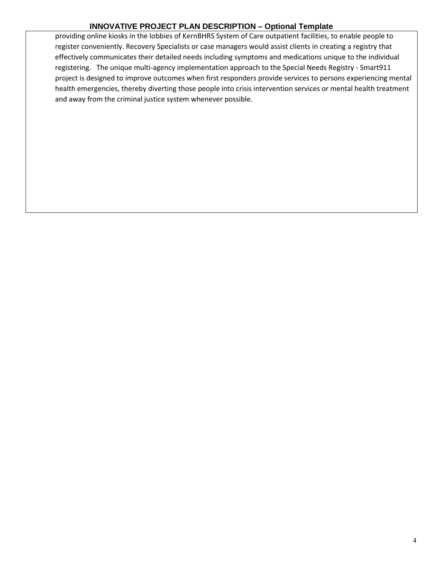providing online kiosks in the lobbies of KernBHRS System of Care outpatient facilities, to enable people to register conveniently. Recovery Specialists or case managers would assist clients in creating a registry that effectively communicates their detailed needs including symptoms and medications unique to the individual registering. The unique multi-agency implementation approach to the Special Needs Registry - Smart911 project is designed to improve outcomes when first responders provide services to persons experiencing mental health emergencies, thereby diverting those people into crisis intervention services or mental health treatment and away from the criminal justice system whenever possible.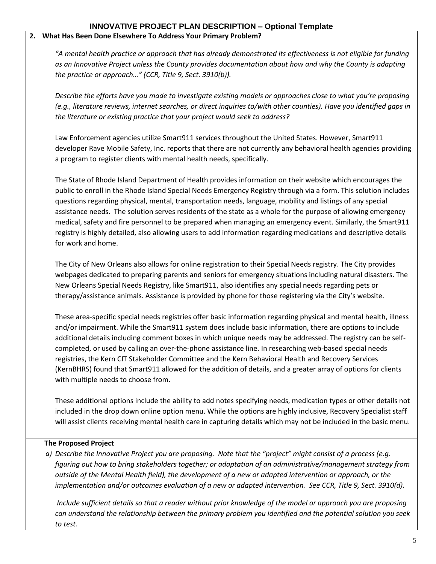#### **2. What Has Been Done Elsewhere To Address Your Primary Problem?**

*"A mental health practice or approach that has already demonstrated its effectiveness is not eligible for funding as an Innovative Project unless the County provides documentation about how and why the County is adapting the practice or approach…" (CCR, Title 9, Sect. 3910(b)).*

*Describe the efforts have you made to investigate existing models or approaches close to what you're proposing (e.g., literature reviews, internet searches, or direct inquiries to/with other counties). Have you identified gaps in the literature or existing practice that your project would seek to address?*

Law Enforcement agencies utilize Smart911 services throughout the United States. However, Smart911 developer Rave Mobile Safety, Inc. reports that there are not currently any behavioral health agencies providing a program to register clients with mental health needs, specifically.

The State of Rhode Island Department of Health provides information on their website which encourages the public to enroll in the Rhode Island Special Needs Emergency Registry through via a form. This solution includes questions regarding physical, mental, transportation needs, language, mobility and listings of any special assistance needs. The solution serves residents of the state as a whole for the purpose of allowing emergency medical, safety and fire personnel to be prepared when managing an emergency event. Similarly, the Smart911 registry is highly detailed, also allowing users to add information regarding medications and descriptive details for work and home.

The City of New Orleans also allows for online registration to their Special Needs registry. The City provides webpages dedicated to preparing parents and seniors for emergency situations including natural disasters. The New Orleans Special Needs Registry, like Smart911, also identifies any special needs regarding pets or therapy/assistance animals. Assistance is provided by phone for those registering via the City's website.

These area-specific special needs registries offer basic information regarding physical and mental health, illness and/or impairment. While the Smart911 system does include basic information, there are options to include additional details including comment boxes in which unique needs may be addressed. The registry can be selfcompleted, or used by calling an over-the-phone assistance line. In researching web-based special needs registries, the Kern CIT Stakeholder Committee and the Kern Behavioral Health and Recovery Services (KernBHRS) found that Smart911 allowed for the addition of details, and a greater array of options for clients with multiple needs to choose from.

These additional options include the ability to add notes specifying needs, medication types or other details not included in the drop down online option menu. While the options are highly inclusive, Recovery Specialist staff will assist clients receiving mental health care in capturing details which may not be included in the basic menu.

#### **The Proposed Project**

*a) Describe the Innovative Project you are proposing. Note that the "project" might consist of a process (e.g. figuring out how to bring stakeholders together; or adaptation of an administrative/management strategy from outside of the Mental Health field), the development of a new or adapted intervention or approach, or the implementation and/or outcomes evaluation of a new or adapted intervention. See CCR, Title 9, Sect. 3910(d).* 

*Include sufficient details so that a reader without prior knowledge of the model or approach you are proposing can understand the relationship between the primary problem you identified and the potential solution you seek to test.*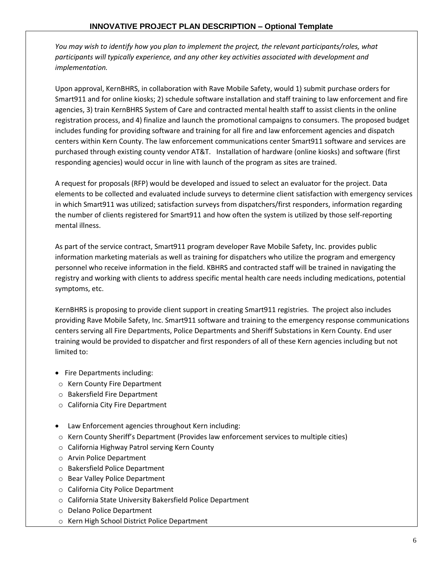*You may wish to identify how you plan to implement the project, the relevant participants/roles, what participants will typically experience, and any other key activities associated with development and implementation.*

Upon approval, KernBHRS, in collaboration with Rave Mobile Safety, would 1) submit purchase orders for Smart911 and for online kiosks; 2) schedule software installation and staff training to law enforcement and fire agencies, 3) train KernBHRS System of Care and contracted mental health staff to assist clients in the online registration process, and 4) finalize and launch the promotional campaigns to consumers. The proposed budget includes funding for providing software and training for all fire and law enforcement agencies and dispatch centers within Kern County. The law enforcement communications center Smart911 software and services are purchased through existing county vendor AT&T. Installation of hardware (online kiosks) and software (first responding agencies) would occur in line with launch of the program as sites are trained.

A request for proposals (RFP) would be developed and issued to select an evaluator for the project. Data elements to be collected and evaluated include surveys to determine client satisfaction with emergency services in which Smart911 was utilized; satisfaction surveys from dispatchers/first responders, information regarding the number of clients registered for Smart911 and how often the system is utilized by those self-reporting mental illness.

As part of the service contract, Smart911 program developer Rave Mobile Safety, Inc. provides public information marketing materials as well as training for dispatchers who utilize the program and emergency personnel who receive information in the field. KBHRS and contracted staff will be trained in navigating the registry and working with clients to address specific mental health care needs including medications, potential symptoms, etc.

KernBHRS is proposing to provide client support in creating Smart911 registries. The project also includes providing Rave Mobile Safety, Inc. Smart911 software and training to the emergency response communications centers serving all Fire Departments, Police Departments and Sheriff Substations in Kern County. End user training would be provided to dispatcher and first responders of all of these Kern agencies including but not limited to:

- Fire Departments including:
- o Kern County Fire Department
- o Bakersfield Fire Department
- o California City Fire Department
- Law Enforcement agencies throughout Kern including:
- o Kern County Sheriff's Department (Provides law enforcement services to multiple cities)
- o California Highway Patrol serving Kern County
- o Arvin Police Department
- o Bakersfield Police Department
- o Bear Valley Police Department
- o California City Police Department
- o California State University Bakersfield Police Department
- o Delano Police Department
- o Kern High School District Police Department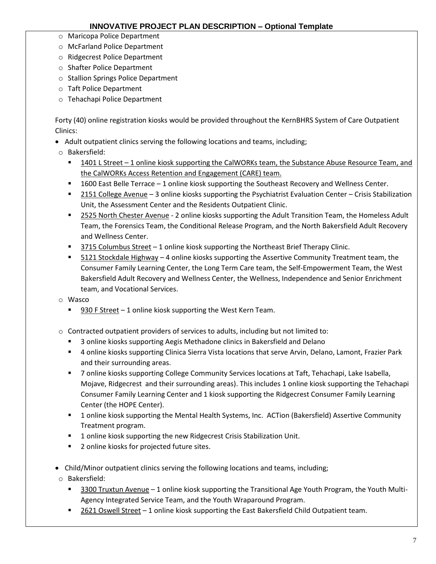- o Maricopa Police Department
- o McFarland Police Department
- o Ridgecrest Police Department
- o Shafter Police Department
- o Stallion Springs Police Department
- o Taft Police Department
- o Tehachapi Police Department

Forty (40) online registration kiosks would be provided throughout the KernBHRS System of Care Outpatient Clinics:

- Adult outpatient clinics serving the following locations and teams, including;
- o Bakersfield:
	- 1401 L Street 1 online kiosk supporting the CalWORKs team, the Substance Abuse Resource Team, and the CalWORKs Access Retention and Engagement (CARE) team.
	- 1600 East Belle Terrace 1 online kiosk supporting the Southeast Recovery and Wellness Center.
	- 2151 College Avenue 3 online kiosks supporting the Psychiatrist Evaluation Center Crisis Stabilization Unit, the Assessment Center and the Residents Outpatient Clinic.
	- **2525 North Chester Avenue** 2 online kiosks supporting the Adult Transition Team, the Homeless Adult Team, the Forensics Team, the Conditional Release Program, and the North Bakersfield Adult Recovery and Wellness Center.
	- 3715 Columbus Street 1 online kiosk supporting the Northeast Brief Therapy Clinic.
	- 5121 Stockdale Highway  $-4$  online kiosks supporting the Assertive Community Treatment team, the Consumer Family Learning Center, the Long Term Care team, the Self-Empowerment Team, the West Bakersfield Adult Recovery and Wellness Center, the Wellness, Independence and Senior Enrichment team, and Vocational Services.
- o Wasco
	- 930 F Street 1 online kiosk supporting the West Kern Team.
- o Contracted outpatient providers of services to adults, including but not limited to:
	- 3 online kiosks supporting Aegis Methadone clinics in Bakersfield and Delano
	- 4 online kiosks supporting Clinica Sierra Vista locations that serve Arvin, Delano, Lamont, Frazier Park and their surrounding areas.
	- 7 online kiosks supporting College Community Services locations at Taft, Tehachapi, Lake Isabella, Mojave, Ridgecrest and their surrounding areas). This includes 1 online kiosk supporting the Tehachapi Consumer Family Learning Center and 1 kiosk supporting the Ridgecrest Consumer Family Learning Center (the HOPE Center).
	- 1 online kiosk supporting the Mental Health Systems, Inc. ACTion (Bakersfield) Assertive Community Treatment program.
	- 1 online kiosk supporting the new Ridgecrest Crisis Stabilization Unit.
	- **2** online kiosks for projected future sites.
- Child/Minor outpatient clinics serving the following locations and teams, including;
- o Bakersfield:
	- **5300 Truxtun Avenue 1 online kiosk supporting the Transitional Age Youth Program, the Youth Multi-**Agency Integrated Service Team, and the Youth Wraparound Program.
	- 2621 Oswell Street 1 online kiosk supporting the East Bakersfield Child Outpatient team.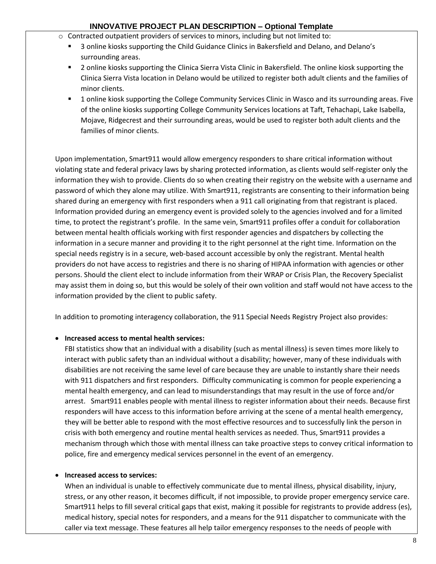- $\circ$  Contracted outpatient providers of services to minors, including but not limited to:
	- 3 online kiosks supporting the Child Guidance Clinics in Bakersfield and Delano, and Delano's surrounding areas.
	- 2 online kiosks supporting the Clinica Sierra Vista Clinic in Bakersfield. The online kiosk supporting the Clinica Sierra Vista location in Delano would be utilized to register both adult clients and the families of minor clients.
	- 1 online kiosk supporting the College Community Services Clinic in Wasco and its surrounding areas. Five of the online kiosks supporting College Community Services locations at Taft, Tehachapi, Lake Isabella, Mojave, Ridgecrest and their surrounding areas, would be used to register both adult clients and the families of minor clients.

Upon implementation, Smart911 would allow emergency responders to share critical information without violating state and federal privacy laws by sharing protected information, as clients would self-register only the information they wish to provide. Clients do so when creating their registry on the website with a username and password of which they alone may utilize. With Smart911, registrants are consenting to their information being shared during an emergency with first responders when a 911 call originating from that registrant is placed. Information provided during an emergency event is provided solely to the agencies involved and for a limited time, to protect the registrant's profile. In the same vein, Smart911 profiles offer a conduit for collaboration between mental health officials working with first responder agencies and dispatchers by collecting the information in a secure manner and providing it to the right personnel at the right time. Information on the special needs registry is in a secure, web-based account accessible by only the registrant. Mental health providers do not have access to registries and there is no sharing of HIPAA information with agencies or other persons. Should the client elect to include information from their WRAP or Crisis Plan, the Recovery Specialist may assist them in doing so, but this would be solely of their own volition and staff would not have access to the information provided by the client to public safety.

In addition to promoting interagency collaboration, the 911 Special Needs Registry Project also provides:

### **Increased access to mental health services:**

FBI statistics show that an individual with a disability (such as mental illness) is seven times more likely to interact with public safety than an individual without a disability; however, many of these individuals with disabilities are not receiving the same level of care because they are unable to instantly share their needs with 911 dispatchers and first responders. Difficulty communicating is common for people experiencing a mental health emergency, and can lead to misunderstandings that may result in the use of force and/or arrest. Smart911 enables people with mental illness to register information about their needs. Because first responders will have access to this information before arriving at the scene of a mental health emergency, they will be better able to respond with the most effective resources and to successfully link the person in crisis with both emergency and routine mental health services as needed. Thus, Smart911 provides a mechanism through which those with mental illness can take proactive steps to convey critical information to police, fire and emergency medical services personnel in the event of an emergency.

### **Increased access to services:**

When an individual is unable to effectively communicate due to mental illness, physical disability, injury, stress, or any other reason, it becomes difficult, if not impossible, to provide proper emergency service care. Smart911 helps to fill several critical gaps that exist, making it possible for registrants to provide address (es), medical history, special notes for responders, and a means for the 911 dispatcher to communicate with the caller via text message. These features all help tailor emergency responses to the needs of people with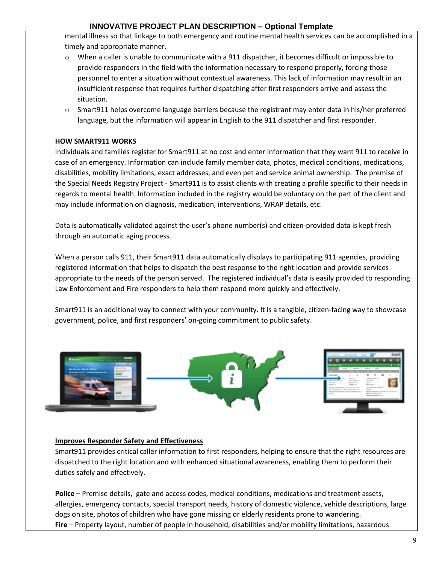mental illness so that linkage to both emergency and routine mental health services can be accomplished in a timely and appropriate manner.

- $\circ$  When a caller is unable to communicate with a 911 dispatcher, it becomes difficult or impossible to provide responders in the field with the information necessary to respond properly, forcing those personnel to enter a situation without contextual awareness. This lack of information may result in an insufficient response that requires further dispatching after first responders arrive and assess the situation.
- o Smart911 helps overcome language barriers because the registrant may enter data in his/her preferred language, but the information will appear in English to the 911 dispatcher and first responder.

#### **HOW SMART911 WORKS**

Individuals and families register for Smart911 at no cost and enter information that they want 911 to receive in case of an emergency. Information can include family member data, photos, medical conditions, medications, disabilities, mobility limitations, exact addresses, and even pet and service animal ownership. The premise of the Special Needs Registry Project - Smart911 is to assist clients with creating a profile specific to their needs in regards to mental health. Information included in the registry would be voluntary on the part of the client and may include information on diagnosis, medication, interventions, WRAP details, etc.

Data is automatically validated against the user's phone number(s) and citizen-provided data is kept fresh through an automatic aging process.

When a person calls 911, their Smart911 data automatically displays to participating 911 agencies, providing registered information that helps to dispatch the best response to the right location and provide services appropriate to the needs of the person served. The registered individual's data is easily provided to responding Law Enforcement and Fire responders to help them respond more quickly and effectively.

Smart911 is an additional way to connect with your community. It is a tangible, citizen-facing way to showcase government, police, and first responders' on-going commitment to public safety.



#### **Improves Responder Safety and Effectiveness**

Smart911 provides critical caller information to first responders, helping to ensure that the right resources are dispatched to the right location and with enhanced situational awareness, enabling them to perform their duties safely and effectively.

**Police** – Premise details, gate and access codes, medical conditions, medications and treatment assets, allergies, emergency contacts, special transport needs, history of domestic violence, vehicle descriptions, large dogs on site, photos of children who have gone missing or elderly residents prone to wandering. **Fire** – Property layout, number of people in household, disabilities and/or mobility limitations, hazardous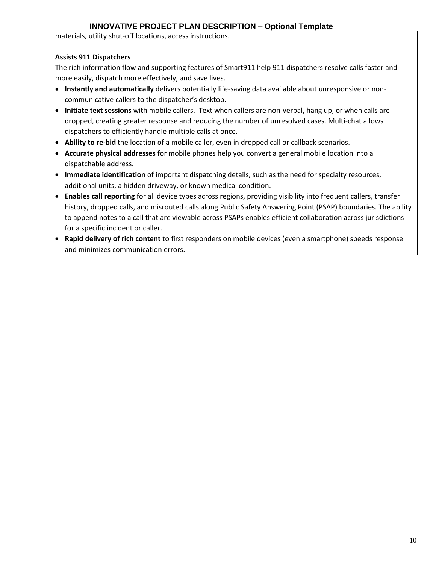materials, utility shut-off locations, access instructions.

#### **Assists 911 Dispatchers**

The rich information flow and supporting features of Smart911 help 911 dispatchers resolve calls faster and more easily, dispatch more effectively, and save lives.

- **Instantly and automatically** delivers potentially life-saving data available about unresponsive or noncommunicative callers to the dispatcher's desktop.
- **Initiate text sessions** with mobile callers. Text when callers are non-verbal, hang up, or when calls are dropped, creating greater response and reducing the number of unresolved cases. Multi-chat allows dispatchers to efficiently handle multiple calls at once.
- **Ability to re-bid** the location of a mobile caller, even in dropped call or callback scenarios.
- **Accurate physical addresses** for mobile phones help you convert a general mobile location into a dispatchable address.
- **Immediate identification** of important dispatching details, such as the need for specialty resources, additional units, a hidden driveway, or known medical condition.
- **Enables call reporting** for all device types across regions, providing visibility into frequent callers, transfer history, dropped calls, and misrouted calls along Public Safety Answering Point (PSAP) boundaries. The ability to append notes to a call that are viewable across PSAPs enables efficient collaboration across jurisdictions for a specific incident or caller.
- **Rapid delivery of rich content** to first responders on mobile devices (even a smartphone) speeds response and minimizes communication errors.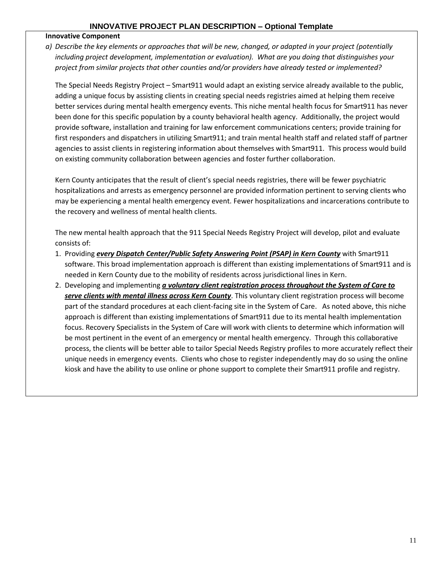#### **Innovative Component**

*a) Describe the key elements or approaches that will be new, changed, or adapted in your project (potentially including project development, implementation or evaluation). What are you doing that distinguishes your project from similar projects that other counties and/or providers have already tested or implemented?* 

The Special Needs Registry Project – Smart911 would adapt an existing service already available to the public, adding a unique focus by assisting clients in creating special needs registries aimed at helping them receive better services during mental health emergency events. This niche mental health focus for Smart911 has never been done for this specific population by a county behavioral health agency. Additionally, the project would provide software, installation and training for law enforcement communications centers; provide training for first responders and dispatchers in utilizing Smart911; and train mental health staff and related staff of partner agencies to assist clients in registering information about themselves with Smart911. This process would build on existing community collaboration between agencies and foster further collaboration.

Kern County anticipates that the result of client's special needs registries, there will be fewer psychiatric hospitalizations and arrests as emergency personnel are provided information pertinent to serving clients who may be experiencing a mental health emergency event. Fewer hospitalizations and incarcerations contribute to the recovery and wellness of mental health clients.

The new mental health approach that the 911 Special Needs Registry Project will develop, pilot and evaluate consists of:

- 1. Providing *every Dispatch Center/Public Safety Answering Point (PSAP) in Kern County* with Smart911 software. This broad implementation approach is different than existing implementations of Smart911 and is needed in Kern County due to the mobility of residents across jurisdictional lines in Kern.
- 2. Developing and implementing *a voluntary client registration process throughout the System of Care to serve clients with mental illness across Kern County*. This voluntary client registration process will become part of the standard procedures at each client-facing site in the System of Care. As noted above, this niche approach is different than existing implementations of Smart911 due to its mental health implementation focus. Recovery Specialists in the System of Care will work with clients to determine which information will be most pertinent in the event of an emergency or mental health emergency. Through this collaborative process, the clients will be better able to tailor Special Needs Registry profiles to more accurately reflect their unique needs in emergency events. Clients who chose to register independently may do so using the online kiosk and have the ability to use online or phone support to complete their Smart911 profile and registry.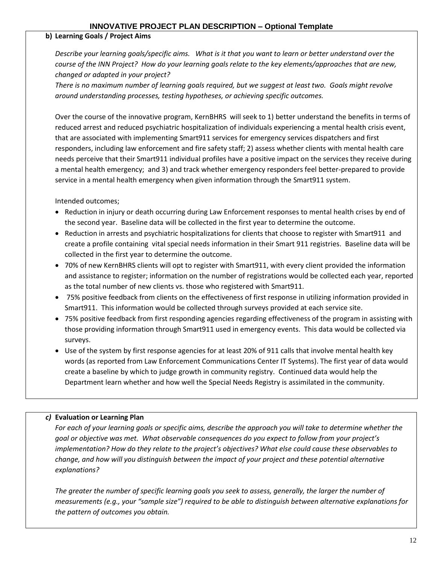#### **b) Learning Goals / Project Aims**

*Describe your learning goals/specific aims. What is it that you want to learn or better understand over the course of the INN Project? How do your learning goals relate to the key elements/approaches that are new, changed or adapted in your project?* 

*There is no maximum number of learning goals required, but we suggest at least two. Goals might revolve around understanding processes, testing hypotheses, or achieving specific outcomes.* 

Over the course of the innovative program, KernBHRS will seek to 1) better understand the benefits in terms of reduced arrest and reduced psychiatric hospitalization of individuals experiencing a mental health crisis event, that are associated with implementing Smart911 services for emergency services dispatchers and first responders, including law enforcement and fire safety staff; 2) assess whether clients with mental health care needs perceive that their Smart911 individual profiles have a positive impact on the services they receive during a mental health emergency; and 3) and track whether emergency responders feel better-prepared to provide service in a mental health emergency when given information through the Smart911 system.

Intended outcomes;

- Reduction in injury or death occurring during Law Enforcement responses to mental health crises by end of the second year. Baseline data will be collected in the first year to determine the outcome.
- Reduction in arrests and psychiatric hospitalizations for clients that choose to register with Smart911 and create a profile containing vital special needs information in their Smart 911 registries. Baseline data will be collected in the first year to determine the outcome.
- 70% of new KernBHRS clients will opt to register with Smart911, with every client provided the information and assistance to register; information on the number of registrations would be collected each year, reported as the total number of new clients vs. those who registered with Smart911.
- 75% positive feedback from clients on the effectiveness of first response in utilizing information provided in Smart911. This information would be collected through surveys provided at each service site.
- 75% positive feedback from first responding agencies regarding effectiveness of the program in assisting with those providing information through Smart911 used in emergency events. This data would be collected via surveys.
- Use of the system by first response agencies for at least 20% of 911 calls that involve mental health key words (as reported from Law Enforcement Communications Center IT Systems). The first year of data would create a baseline by which to judge growth in community registry. Continued data would help the Department learn whether and how well the Special Needs Registry is assimilated in the community.

### *c)* **Evaluation or Learning Plan**

For each of your learning goals or specific aims, describe the approach you will take to determine whether the *goal or objective was met. What observable consequences do you expect to follow from your project's implementation? How do they relate to the project's objectives? What else could cause these observables to change, and how will you distinguish between the impact of your project and these potential alternative explanations?*

*The greater the number of specific learning goals you seek to assess, generally, the larger the number of measurements (e.g., your "sample size") required to be able to distinguish between alternative explanations for the pattern of outcomes you obtain.*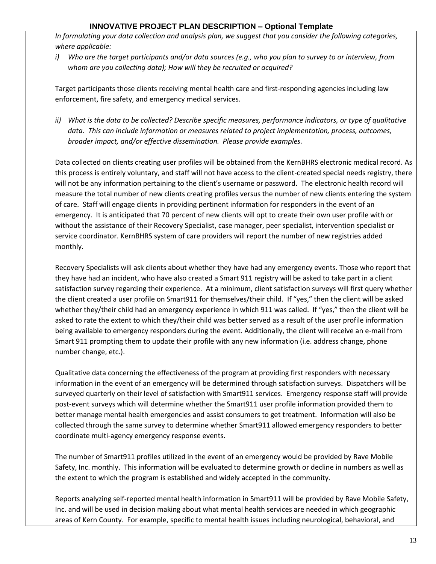*In formulating your data collection and analysis plan, we suggest that you consider the following categories, where applicable:*

*i) Who are the target participants and/or data sources (e.g., who you plan to survey to or interview, from whom are you collecting data); How will they be recruited or acquired?*

Target participants those clients receiving mental health care and first-responding agencies including law enforcement, fire safety, and emergency medical services.

*ii) What is the data to be collected? Describe specific measures, performance indicators, or type of qualitative data. This can include information or measures related to project implementation, process, outcomes, broader impact, and/or effective dissemination. Please provide examples.*

Data collected on clients creating user profiles will be obtained from the KernBHRS electronic medical record. As this process is entirely voluntary, and staff will not have access to the client-created special needs registry, there will not be any information pertaining to the client's username or password. The electronic health record will measure the total number of new clients creating profiles versus the number of new clients entering the system of care. Staff will engage clients in providing pertinent information for responders in the event of an emergency. It is anticipated that 70 percent of new clients will opt to create their own user profile with or without the assistance of their Recovery Specialist, case manager, peer specialist, intervention specialist or service coordinator. KernBHRS system of care providers will report the number of new registries added monthly.

Recovery Specialists will ask clients about whether they have had any emergency events. Those who report that they have had an incident, who have also created a Smart 911 registry will be asked to take part in a client satisfaction survey regarding their experience. At a minimum, client satisfaction surveys will first query whether the client created a user profile on Smart911 for themselves/their child. If "yes," then the client will be asked whether they/their child had an emergency experience in which 911 was called. If "yes," then the client will be asked to rate the extent to which they/their child was better served as a result of the user profile information being available to emergency responders during the event. Additionally, the client will receive an e-mail from Smart 911 prompting them to update their profile with any new information (i.e. address change, phone number change, etc.).

Qualitative data concerning the effectiveness of the program at providing first responders with necessary information in the event of an emergency will be determined through satisfaction surveys. Dispatchers will be surveyed quarterly on their level of satisfaction with Smart911 services. Emergency response staff will provide post-event surveys which will determine whether the Smart911 user profile information provided them to better manage mental health emergencies and assist consumers to get treatment. Information will also be collected through the same survey to determine whether Smart911 allowed emergency responders to better coordinate multi-agency emergency response events.

The number of Smart911 profiles utilized in the event of an emergency would be provided by Rave Mobile Safety, Inc. monthly. This information will be evaluated to determine growth or decline in numbers as well as the extent to which the program is established and widely accepted in the community.

Reports analyzing self-reported mental health information in Smart911 will be provided by Rave Mobile Safety, Inc. and will be used in decision making about what mental health services are needed in which geographic areas of Kern County. For example, specific to mental health issues including neurological, behavioral, and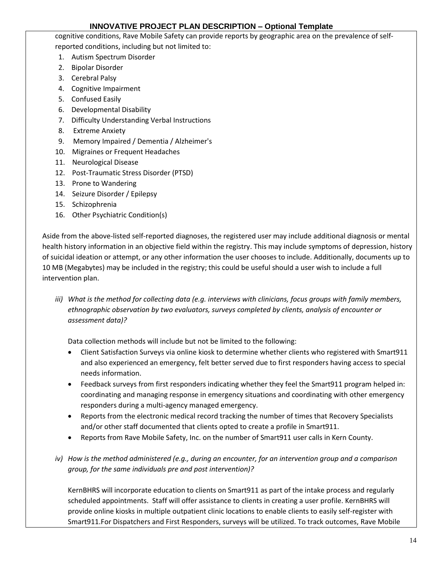cognitive conditions, Rave Mobile Safety can provide reports by geographic area on the prevalence of selfreported conditions, including but not limited to:

- 1. Autism Spectrum Disorder
- 2. Bipolar Disorder
- 3. Cerebral Palsy
- 4. Cognitive Impairment
- 5. Confused Easily
- 6. Developmental Disability
- 7. Difficulty Understanding Verbal Instructions
- 8. Extreme Anxiety
- 9. Memory Impaired / Dementia / Alzheimer's
- 10. Migraines or Frequent Headaches
- 11. Neurological Disease
- 12. Post-Traumatic Stress Disorder (PTSD)
- 13. Prone to Wandering
- 14. Seizure Disorder / Epilepsy
- 15. Schizophrenia
- 16. Other Psychiatric Condition(s)

Aside from the above-listed self-reported diagnoses, the registered user may include additional diagnosis or mental health history information in an objective field within the registry. This may include symptoms of depression, history of suicidal ideation or attempt, or any other information the user chooses to include. Additionally, documents up to 10 MB (Megabytes) may be included in the registry; this could be useful should a user wish to include a full intervention plan.

*iii) What is the method for collecting data (e.g. interviews with clinicians, focus groups with family members, ethnographic observation by two evaluators, surveys completed by clients, analysis of encounter or assessment data)?*

Data collection methods will include but not be limited to the following:

- Client Satisfaction Surveys via online kiosk to determine whether clients who registered with Smart911 and also experienced an emergency, felt better served due to first responders having access to special needs information.
- Feedback surveys from first responders indicating whether they feel the Smart911 program helped in: coordinating and managing response in emergency situations and coordinating with other emergency responders during a multi-agency managed emergency.
- Reports from the electronic medical record tracking the number of times that Recovery Specialists and/or other staff documented that clients opted to create a profile in Smart911.
- Reports from Rave Mobile Safety, Inc. on the number of Smart911 user calls in Kern County.
- *iv) How is the method administered (e.g., during an encounter, for an intervention group and a comparison group, for the same individuals pre and post intervention)?*

KernBHRS will incorporate education to clients on Smart911 as part of the intake process and regularly scheduled appointments. Staff will offer assistance to clients in creating a user profile. KernBHRS will provide online kiosks in multiple outpatient clinic locations to enable clients to easily self-register with Smart911.For Dispatchers and First Responders, surveys will be utilized. To track outcomes, Rave Mobile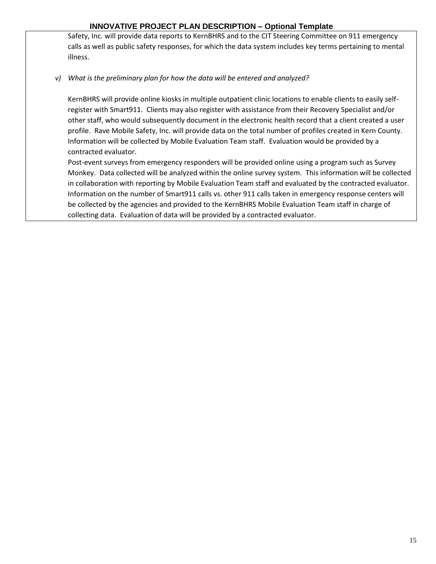Safety, Inc. will provide data reports to KernBHRS and to the CIT Steering Committee on 911 emergency calls as well as public safety responses, for which the data system includes key terms pertaining to mental illness.

### *v) What is the preliminary plan for how the data will be entered and analyzed?*

KernBHRS will provide online kiosks in multiple outpatient clinic locations to enable clients to easily selfregister with Smart911. Clients may also register with assistance from their Recovery Specialist and/or other staff, who would subsequently document in the electronic health record that a client created a user profile. Rave Mobile Safety, Inc. will provide data on the total number of profiles created in Kern County. Information will be collected by Mobile Evaluation Team staff. Evaluation would be provided by a contracted evaluator.

Post-event surveys from emergency responders will be provided online using a program such as Survey Monkey. Data collected will be analyzed within the online survey system. This information will be collected in collaboration with reporting by Mobile Evaluation Team staff and evaluated by the contracted evaluator. Information on the number of Smart911 calls vs. other 911 calls taken in emergency response centers will be collected by the agencies and provided to the KernBHRS Mobile Evaluation Team staff in charge of collecting data. Evaluation of data will be provided by a contracted evaluator.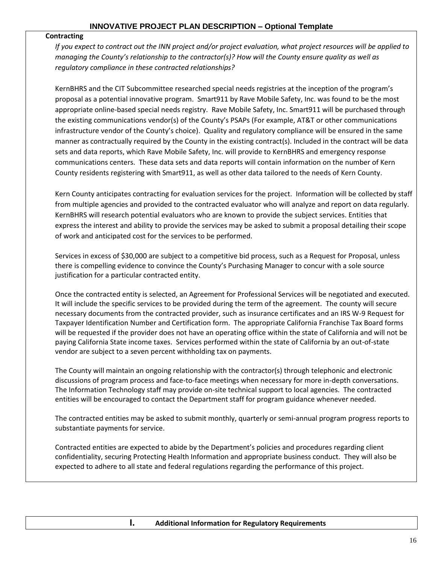#### **Contracting**

*If you expect to contract out the INN project and/or project evaluation, what project resources will be applied to managing the County's relationship to the contractor(s)? How will the County ensure quality as well as regulatory compliance in these contracted relationships?* 

KernBHRS and the CIT Subcommittee researched special needs registries at the inception of the program's proposal as a potential innovative program. Smart911 by Rave Mobile Safety, Inc. was found to be the most appropriate online-based special needs registry. Rave Mobile Safety, Inc. Smart911 will be purchased through the existing communications vendor(s) of the County's PSAPs (For example, AT&T or other communications infrastructure vendor of the County's choice). Quality and regulatory compliance will be ensured in the same manner as contractually required by the County in the existing contract(s). Included in the contract will be data sets and data reports, which Rave Mobile Safety, Inc. will provide to KernBHRS and emergency response communications centers. These data sets and data reports will contain information on the number of Kern County residents registering with Smart911, as well as other data tailored to the needs of Kern County.

Kern County anticipates contracting for evaluation services for the project. Information will be collected by staff from multiple agencies and provided to the contracted evaluator who will analyze and report on data regularly. KernBHRS will research potential evaluators who are known to provide the subject services. Entities that express the interest and ability to provide the services may be asked to submit a proposal detailing their scope of work and anticipated cost for the services to be performed.

Services in excess of \$30,000 are subject to a competitive bid process, such as a Request for Proposal, unless there is compelling evidence to convince the County's Purchasing Manager to concur with a sole source justification for a particular contracted entity.

Once the contracted entity is selected, an Agreement for Professional Services will be negotiated and executed. It will include the specific services to be provided during the term of the agreement. The county will secure necessary documents from the contracted provider, such as insurance certificates and an IRS W-9 Request for Taxpayer Identification Number and Certification form. The appropriate California Franchise Tax Board forms will be requested if the provider does not have an operating office within the state of California and will not be paying California State income taxes. Services performed within the state of California by an out-of-state vendor are subject to a seven percent withholding tax on payments.

The County will maintain an ongoing relationship with the contractor(s) through telephonic and electronic discussions of program process and face-to-face meetings when necessary for more in-depth conversations. The Information Technology staff may provide on-site technical support to local agencies. The contracted entities will be encouraged to contact the Department staff for program guidance whenever needed.

The contracted entities may be asked to submit monthly, quarterly or semi-annual program progress reports to substantiate payments for service.

Contracted entities are expected to abide by the Department's policies and procedures regarding client confidentiality, securing Protecting Health Information and appropriate business conduct. They will also be expected to adhere to all state and federal regulations regarding the performance of this project.

**I. Additional Information for Regulatory Requirements**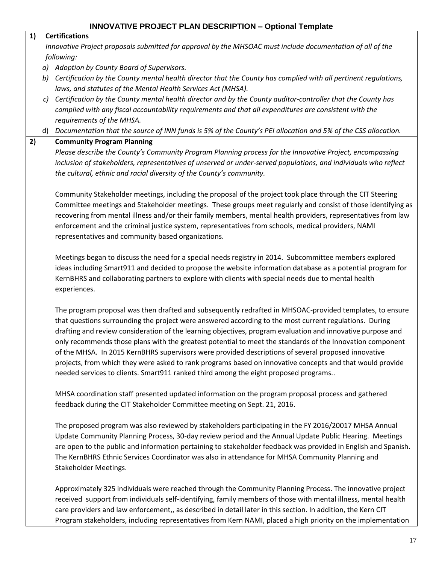#### **1) Certifications**

*Innovative Project proposals submitted for approval by the MHSOAC must include documentation of all of the following:*

- *a) Adoption by County Board of Supervisors.*
- *b) Certification by the County mental health director that the County has complied with all pertinent regulations, laws, and statutes of the Mental Health Services Act (MHSA).*
- *c) Certification by the County mental health director and by the County auditor-controller that the County has complied with any fiscal accountability requirements and that all expenditures are consistent with the requirements of the MHSA.*
- d) *Documentation that the source of INN funds is 5% of the County's PEI allocation and 5% of the CSS allocation.*

### **2) Community Program Planning**

*Please describe the County's Community Program Planning process for the Innovative Project, encompassing inclusion of stakeholders, representatives of unserved or under-served populations, and individuals who reflect the cultural, ethnic and racial diversity of the County's community.*

Community Stakeholder meetings, including the proposal of the project took place through the CIT Steering Committee meetings and Stakeholder meetings. These groups meet regularly and consist of those identifying as recovering from mental illness and/or their family members, mental health providers, representatives from law enforcement and the criminal justice system, representatives from schools, medical providers, NAMI representatives and community based organizations.

Meetings began to discuss the need for a special needs registry in 2014. Subcommittee members explored ideas including Smart911 and decided to propose the website information database as a potential program for KernBHRS and collaborating partners to explore with clients with special needs due to mental health experiences.

The program proposal was then drafted and subsequently redrafted in MHSOAC-provided templates, to ensure that questions surrounding the project were answered according to the most current regulations. During drafting and review consideration of the learning objectives, program evaluation and innovative purpose and only recommends those plans with the greatest potential to meet the standards of the Innovation component of the MHSA. In 2015 KernBHRS supervisors were provided descriptions of several proposed innovative projects, from which they were asked to rank programs based on innovative concepts and that would provide needed services to clients. Smart911 ranked third among the eight proposed programs..

MHSA coordination staff presented updated information on the program proposal process and gathered feedback during the CIT Stakeholder Committee meeting on Sept. 21, 2016.

The proposed program was also reviewed by stakeholders participating in the FY 2016/20017 MHSA Annual Update Community Planning Process, 30-day review period and the Annual Update Public Hearing. Meetings are open to the public and information pertaining to stakeholder feedback was provided in English and Spanish. The KernBHRS Ethnic Services Coordinator was also in attendance for MHSA Community Planning and Stakeholder Meetings.

Approximately 325 individuals were reached through the Community Planning Process. The innovative project received support from individuals self-identifying, family members of those with mental illness, mental health care providers and law enforcement,, as described in detail later in this section. In addition, the Kern CIT Program stakeholders, including representatives from Kern NAMI, placed a high priority on the implementation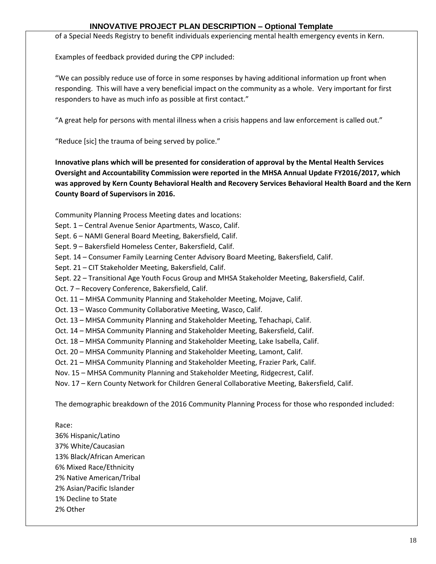of a Special Needs Registry to benefit individuals experiencing mental health emergency events in Kern.

Examples of feedback provided during the CPP included:

"We can possibly reduce use of force in some responses by having additional information up front when responding. This will have a very beneficial impact on the community as a whole. Very important for first responders to have as much info as possible at first contact."

"A great help for persons with mental illness when a crisis happens and law enforcement is called out."

"Reduce [sic] the trauma of being served by police."

**Innovative plans which will be presented for consideration of approval by the Mental Health Services Oversight and Accountability Commission were reported in the MHSA Annual Update FY2016/2017, which was approved by Kern County Behavioral Health and Recovery Services Behavioral Health Board and the Kern County Board of Supervisors in 2016.**

Community Planning Process Meeting dates and locations:

Sept. 1 – Central Avenue Senior Apartments, Wasco, Calif.

Sept. 6 – NAMI General Board Meeting, Bakersfield, Calif.

Sept. 9 – Bakersfield Homeless Center, Bakersfield, Calif.

Sept. 14 – Consumer Family Learning Center Advisory Board Meeting, Bakersfield, Calif.

Sept. 21 – CIT Stakeholder Meeting, Bakersfield, Calif.

Sept. 22 – Transitional Age Youth Focus Group and MHSA Stakeholder Meeting, Bakersfield, Calif.

Oct. 7 – Recovery Conference, Bakersfield, Calif.

Oct. 11 – MHSA Community Planning and Stakeholder Meeting, Mojave, Calif.

Oct. 13 – Wasco Community Collaborative Meeting, Wasco, Calif.

Oct. 13 – MHSA Community Planning and Stakeholder Meeting, Tehachapi, Calif.

Oct. 14 – MHSA Community Planning and Stakeholder Meeting, Bakersfield, Calif.

Oct. 18 – MHSA Community Planning and Stakeholder Meeting, Lake Isabella, Calif.

Oct. 20 – MHSA Community Planning and Stakeholder Meeting, Lamont, Calif.

Oct. 21 – MHSA Community Planning and Stakeholder Meeting, Frazier Park, Calif.

Nov. 15 – MHSA Community Planning and Stakeholder Meeting, Ridgecrest, Calif.

Nov. 17 – Kern County Network for Children General Collaborative Meeting, Bakersfield, Calif.

The demographic breakdown of the 2016 Community Planning Process for those who responded included:

Race:

36% Hispanic/Latino 37% White/Caucasian 13% Black/African American 6% Mixed Race/Ethnicity 2% Native American/Tribal 2% Asian/Pacific Islander 1% Decline to State 2% Other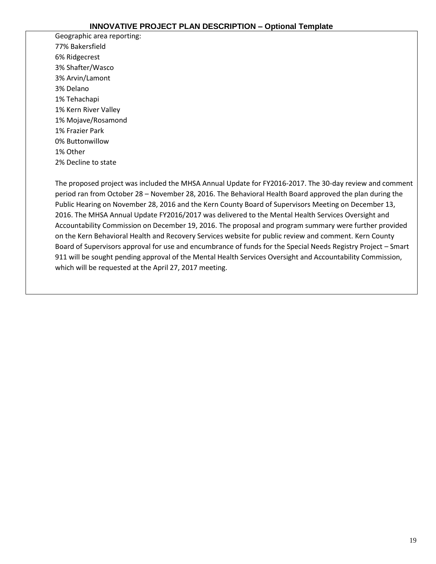Geographic area reporting: 77% Bakersfield 6% Ridgecrest 3% Shafter/Wasco 3% Arvin/Lamont 3% Delano 1% Tehachapi 1% Kern River Valley 1% Mojave/Rosamond 1% Frazier Park 0% Buttonwillow 1% Other 2% Decline to state

The proposed project was included the MHSA Annual Update for FY2016-2017. The 30-day review and comment period ran from October 28 – November 28, 2016. The Behavioral Health Board approved the plan during the Public Hearing on November 28, 2016 and the Kern County Board of Supervisors Meeting on December 13, 2016. The MHSA Annual Update FY2016/2017 was delivered to the Mental Health Services Oversight and Accountability Commission on December 19, 2016. The proposal and program summary were further provided on the Kern Behavioral Health and Recovery Services website for public review and comment. Kern County Board of Supervisors approval for use and encumbrance of funds for the Special Needs Registry Project – Smart 911 will be sought pending approval of the Mental Health Services Oversight and Accountability Commission, which will be requested at the April 27, 2017 meeting.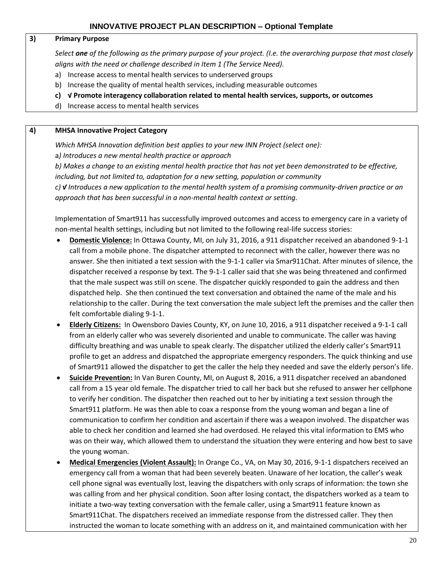#### **3) Primary Purpose**

*Select one of the following as the primary purpose of your project. (I.e. the overarching purpose that most closely aligns with the need or challenge described in Item 1 (The Service Need).*

- a) Increase access to mental health services to underserved groups
- b) Increase the quality of mental health services, including measurable outcomes
- **c) √ Promote interagency collaboration related to mental health services, supports, or outcomes**
- d) Increase access to mental health services

#### **4) MHSA Innovative Project Category**

*Which MHSA Innovation definition best applies to your new INN Project (select one):*  a*) Introduces a new mental health practice or approach* 

*b) Makes a change to an existing mental health practice that has not yet been demonstrated to be effective, including, but not limited to, adaptation for a new setting, population or community c) √ Introduces a new application to the mental health system of a promising community-driven practice or an approach that has been successful in a non-mental health context or setting.* 

Implementation of Smart911 has successfully improved outcomes and access to emergency care in a variety of non-mental health settings, including but not limited to the following real-life success stories:

- **Domestic Violence:** In Ottawa County, MI, on July 31, 2016, a 911 dispatcher received an abandoned 9-1-1 call from a mobile phone. The dispatcher attempted to reconnect with the caller, however there was no answer. She then initiated a text session with the 9-1-1 caller via Smar911Chat. After minutes of silence, the dispatcher received a response by text. The 9-1-1 caller said that she was being threatened and confirmed that the male suspect was still on scene. The dispatcher quickly responded to gain the address and then dispatched help. She then continued the text conversation and obtained the name of the male and his relationship to the caller. During the text conversation the male subject left the premises and the caller then felt comfortable dialing 9-1-1.
- **Elderly Citizens:** In Owensboro Davies County, KY, on June 10, 2016, a 911 dispatcher received a 9-1-1 call from an elderly caller who was severely disoriented and unable to communicate. The caller was having difficulty breathing and was unable to speak clearly. The dispatcher utilized the elderly caller's Smart911 profile to get an address and dispatched the appropriate emergency responders. The quick thinking and use of Smart911 allowed the dispatcher to get the caller the help they needed and save the elderly person's life.
- **Suicide Prevention:** In Van Buren County, MI, on August 8, 2016, a 911 dispatcher received an abandoned call from a 15 year old female. The dispatcher tried to call her back but she refused to answer her cellphone to verify her condition. The dispatcher then reached out to her by initiating a text session through the Smart911 platform. He was then able to coax a response from the young woman and began a line of communication to confirm her condition and ascertain if there was a weapon involved. The dispatcher was able to check her condition and learned she had overdosed. He relayed this vital information to EMS who was on their way, which allowed them to understand the situation they were entering and how best to save the young woman.
- **Medical Emergencies (Violent Assault):** In Orange Co., VA, on May 30, 2016, 9-1-1 dispatchers received an emergency call from a woman that had been severely beaten. Unaware of her location, the caller's weak cell phone signal was eventually lost, leaving the dispatchers with only scraps of information: the town she was calling from and her physical condition. Soon after losing contact, the dispatchers worked as a team to initiate a two-way texting conversation with the female caller, using a Smart911 feature known as Smart911Chat. The dispatchers received an immediate response from the distressed caller. They then instructed the woman to locate something with an address on it, and maintained communication with her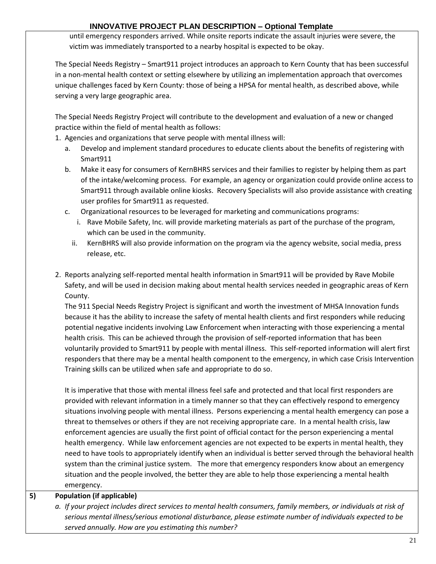until emergency responders arrived. While onsite reports indicate the assault injuries were severe, the victim was immediately transported to a nearby hospital is expected to be okay.

The Special Needs Registry – Smart911 project introduces an approach to Kern County that has been successful in a non-mental health context or setting elsewhere by utilizing an implementation approach that overcomes unique challenges faced by Kern County: those of being a HPSA for mental health, as described above, while serving a very large geographic area.

The Special Needs Registry Project will contribute to the development and evaluation of a new or changed practice within the field of mental health as follows:

- 1. Agencies and organizations that serve people with mental illness will:
	- a. Develop and implement standard procedures to educate clients about the benefits of registering with Smart911
	- b. Make it easy for consumers of KernBHRS services and their families to register by helping them as part of the intake/welcoming process. For example, an agency or organization could provide online access to Smart911 through available online kiosks. Recovery Specialists will also provide assistance with creating user profiles for Smart911 as requested.
	- c. Organizational resources to be leveraged for marketing and communications programs:
		- i. Rave Mobile Safety, Inc. will provide marketing materials as part of the purchase of the program, which can be used in the community.
		- ii. KernBHRS will also provide information on the program via the agency website, social media, press release, etc.
- 2. Reports analyzing self-reported mental health information in Smart911 will be provided by Rave Mobile Safety, and will be used in decision making about mental health services needed in geographic areas of Kern County.

The 911 Special Needs Registry Project is significant and worth the investment of MHSA Innovation funds because it has the ability to increase the safety of mental health clients and first responders while reducing potential negative incidents involving Law Enforcement when interacting with those experiencing a mental health crisis. This can be achieved through the provision of self-reported information that has been voluntarily provided to Smart911 by people with mental illness. This self-reported information will alert first responders that there may be a mental health component to the emergency, in which case Crisis Intervention Training skills can be utilized when safe and appropriate to do so.

It is imperative that those with mental illness feel safe and protected and that local first responders are provided with relevant information in a timely manner so that they can effectively respond to emergency situations involving people with mental illness. Persons experiencing a mental health emergency can pose a threat to themselves or others if they are not receiving appropriate care. In a mental health crisis, law enforcement agencies are usually the first point of official contact for the person experiencing a mental health emergency. While law enforcement agencies are not expected to be experts in mental health, they need to have tools to appropriately identify when an individual is better served through the behavioral health system than the criminal justice system. The more that emergency responders know about an emergency situation and the people involved, the better they are able to help those experiencing a mental health emergency.

**5) Population (if applicable)**

*a. If your project includes direct services to mental health consumers, family members, or individuals at risk of serious mental illness/serious emotional disturbance, please estimate number of individuals expected to be served annually. How are you estimating this number?*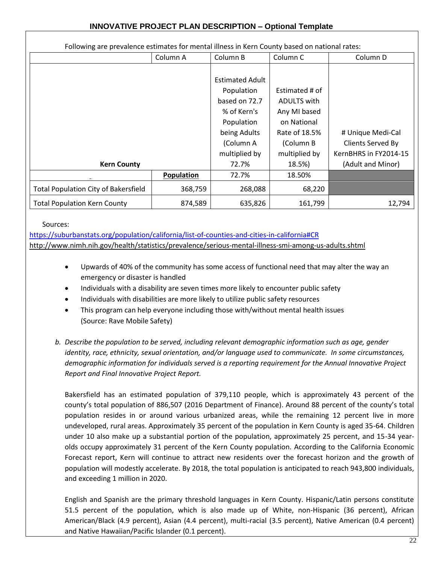Following are prevalence estimates for mental illness in Kern County based on national rates: Column A Column B Column C Column D **Kern County** Estimated Adult Population based on 72.7 % of Kern's Population being Adults (Column A multiplied by 72.7% Estimated # of ADULTS with Any MI based on National Rate of 18.5% (Column B multiplied by 18.5%) # Unique Medi-Cal Clients Served By KernBHRS in FY2014-15 (Adult and Minor) **Population** | 72.7% | 18.50% Total Population City of Bakersfield  $\vert$  368,759  $\vert$  268,088 68,220 Total Population Kern County  $874,589$  635,826 161,799 161,799 12,794

#### Sources:

<https://suburbanstats.org/population/california/list-of-counties-and-cities-in-california#CR> <http://www.nimh.nih.gov/health/statistics/prevalence/serious-mental-illness-smi-among-us-adults.shtml>

- Upwards of 40% of the community has some access of functional need that may alter the way an emergency or disaster is handled
- Individuals with a disability are seven times more likely to encounter public safety
- Individuals with disabilities are more likely to utilize public safety resources
- This program can help everyone including those with/without mental health issues (Source: Rave Mobile Safety)
- *b. Describe the population to be served, including relevant demographic information such as age, gender identity, race, ethnicity, sexual orientation, and/or language used to communicate. In some circumstances, demographic information for individuals served is a reporting requirement for the Annual Innovative Project Report and Final Innovative Project Report.*

Bakersfield has an estimated population of 379,110 people, which is approximately 43 percent of the county's total population of 886,507 (2016 Department of Finance). Around 88 percent of the county's total population resides in or around various urbanized areas, while the remaining 12 percent live in more undeveloped, rural areas. Approximately 35 percent of the population in Kern County is aged 35-64. Children under 10 also make up a substantial portion of the population, approximately 25 percent, and 15-34 yearolds occupy approximately 31 percent of the Kern County population. According to the California Economic Forecast report, Kern will continue to attract new residents over the forecast horizon and the growth of population will modestly accelerate. By 2018, the total population is anticipated to reach 943,800 individuals, and exceeding 1 million in 2020.

English and Spanish are the primary threshold languages in Kern County. Hispanic/Latin persons constitute 51.5 percent of the population, which is also made up of White, non-Hispanic (36 percent), African American/Black (4.9 percent), Asian (4.4 percent), multi-racial (3.5 percent), Native American (0.4 percent) and Native Hawaiian/Pacific Islander (0.1 percent).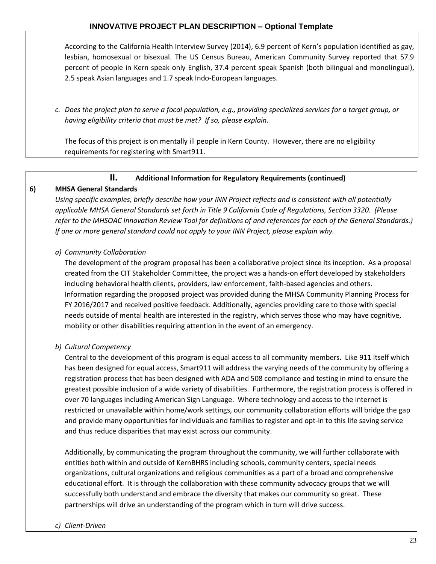According to the California Health Interview Survey (2014), 6.9 percent of Kern's population identified as gay, lesbian, homosexual or bisexual. The US Census Bureau, American Community Survey reported that 57.9 percent of people in Kern speak only English, 37.4 percent speak Spanish (both bilingual and monolingual), 2.5 speak Asian languages and 1.7 speak Indo-European languages.

*c. Does the project plan to serve a focal population, e.g., providing specialized services for a target group, or having eligibility criteria that must be met? If so, please explain.* 

The focus of this project is on mentally ill people in Kern County. However, there are no eligibility requirements for registering with Smart911.

### **II. Additional Information for Regulatory Requirements (continued)**

#### **6) MHSA General Standards**

*Using specific examples, briefly describe how your INN Project reflects and is consistent with all potentially applicable MHSA General Standards set forth in Title 9 California Code of Regulations, Section 3320. (Please refer to the MHSOAC Innovation Review Tool for definitions of and references for each of the General Standards.) If one or more general standard could not apply to your INN Project, please explain why.* 

#### *a) Community Collaboration*

The development of the program proposal has been a collaborative project since its inception. As a proposal created from the CIT Stakeholder Committee, the project was a hands-on effort developed by stakeholders including behavioral health clients, providers, law enforcement, faith-based agencies and others. Information regarding the proposed project was provided during the MHSA Community Planning Process for FY 2016/2017 and received positive feedback. Additionally, agencies providing care to those with special needs outside of mental health are interested in the registry, which serves those who may have cognitive, mobility or other disabilities requiring attention in the event of an emergency.

### *b) Cultural Competency*

Central to the development of this program is equal access to all community members. Like 911 itself which has been designed for equal access, Smart911 will address the varying needs of the community by offering a registration process that has been designed with ADA and 508 compliance and testing in mind to ensure the greatest possible inclusion of a wide variety of disabilities. Furthermore, the registration process is offered in over 70 languages including American Sign Language. Where technology and access to the internet is restricted or unavailable within home/work settings, our community collaboration efforts will bridge the gap and provide many opportunities for individuals and families to register and opt-in to this life saving service and thus reduce disparities that may exist across our community.

Additionally, by communicating the program throughout the community, we will further collaborate with entities both within and outside of KernBHRS including schools, community centers, special needs organizations, cultural organizations and religious communities as a part of a broad and comprehensive educational effort. It is through the collaboration with these community advocacy groups that we will successfully both understand and embrace the diversity that makes our community so great. These partnerships will drive an understanding of the program which in turn will drive success.

#### *c) Client-Driven*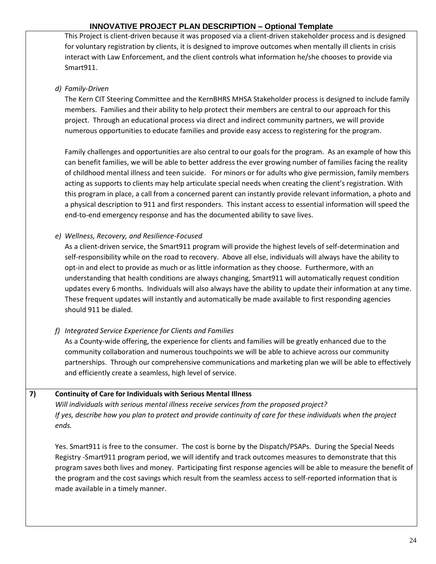This Project is client-driven because it was proposed via a client-driven stakeholder process and is designed for voluntary registration by clients, it is designed to improve outcomes when mentally ill clients in crisis interact with Law Enforcement, and the client controls what information he/she chooses to provide via Smart911.

### *d) Family-Driven*

The Kern CIT Steering Committee and the KernBHRS MHSA Stakeholder process is designed to include family members. Families and their ability to help protect their members are central to our approach for this project. Through an educational process via direct and indirect community partners, we will provide numerous opportunities to educate families and provide easy access to registering for the program.

Family challenges and opportunities are also central to our goals for the program. As an example of how this can benefit families, we will be able to better address the ever growing number of families facing the reality of childhood mental illness and teen suicide. For minors or for adults who give permission, family members acting as supports to clients may help articulate special needs when creating the client's registration. With this program in place, a call from a concerned parent can instantly provide relevant information, a photo and a physical description to 911 and first responders. This instant access to essential information will speed the end-to-end emergency response and has the documented ability to save lives.

### *e) Wellness, Recovery, and Resilience-Focused*

As a client-driven service, the Smart911 program will provide the highest levels of self-determination and self-responsibility while on the road to recovery. Above all else, individuals will always have the ability to opt-in and elect to provide as much or as little information as they choose. Furthermore, with an understanding that health conditions are always changing, Smart911 will automatically request condition updates every 6 months. Individuals will also always have the ability to update their information at any time. These frequent updates will instantly and automatically be made available to first responding agencies should 911 be dialed.

# *f) Integrated Service Experience for Clients and Families*

As a County-wide offering, the experience for clients and families will be greatly enhanced due to the community collaboration and numerous touchpoints we will be able to achieve across our community partnerships. Through our comprehensive communications and marketing plan we will be able to effectively and efficiently create a seamless, high level of service.

### **7) Continuity of Care for Individuals with Serious Mental Illness**

*Will individuals with serious mental illness receive services from the proposed project? If yes, describe how you plan to protect and provide continuity of care for these individuals when the project ends.* 

Yes. Smart911 is free to the consumer. The cost is borne by the Dispatch/PSAPs. During the Special Needs Registry -Smart911 program period, we will identify and track outcomes measures to demonstrate that this program saves both lives and money. Participating first response agencies will be able to measure the benefit of the program and the cost savings which result from the seamless access to self-reported information that is made available in a timely manner.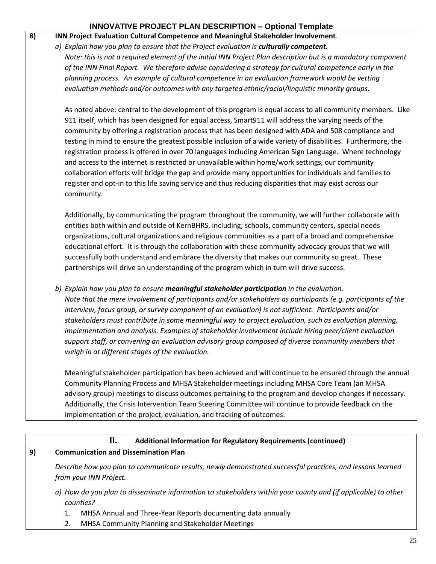### **8) INN Project Evaluation Cultural Competence and Meaningful Stakeholder Involvement**.

#### *a) Explain how you plan to ensure that the Project evaluation is culturally competent.*

*Note: this is not a required element of the initial INN Project Plan description but is a mandatory component of the INN Final Report. We therefore advise considering a strategy for cultural competence early in the planning process. An example of cultural competence in an evaluation framework would be vetting evaluation methods and/or outcomes with any targeted ethnic/racial/linguistic minority groups.*

As noted above: central to the development of this program is equal access to all community members. Like 911 itself, which has been designed for equal access, Smart911 will address the varying needs of the community by offering a registration process that has been designed with ADA and 508 compliance and testing in mind to ensure the greatest possible inclusion of a wide variety of disabilities. Furthermore, the registration process is offered in over 70 languages including American Sign Language. Where technology and access to the internet is restricted or unavailable within home/work settings, our community collaboration efforts will bridge the gap and provide many opportunities for individuals and families to register and opt-in to this life saving service and thus reducing disparities that may exist across our community.

Additionally, by communicating the program throughout the community, we will further collaborate with entities both within and outside of KernBHRS, including; schools, community centers, special needs organizations, cultural organizations and religious communities as a part of a broad and comprehensive educational effort. It is through the collaboration with these community advocacy groups that we will successfully both understand and embrace the diversity that makes our community so great. These partnerships will drive an understanding of the program which in turn will drive success.

*b) Explain how you plan to ensure meaningful stakeholder participation in the evaluation. Note that the mere involvement of participants and/or stakeholders as participants (e.g. participants of the interview, focus group, or survey component of an evaluation) is not sufficient. Participants and/or stakeholders must contribute in some meaningful way to project evaluation, such as evaluation planning, implementation and analysis. Examples of stakeholder involvement include hiring peer/client evaluation support staff, or convening an evaluation advisory group composed of diverse community members that weigh in at different stages of the evaluation.* 

Meaningful stakeholder participation has been achieved and will continue to be ensured through the annual Community Planning Process and MHSA Stakeholder meetings including MHSA Core Team (an MHSA advisory group) meetings to discuss outcomes pertaining to the program and develop changes if necessary. Additionally, the Crisis Intervention Team Steering Committee will continue to provide feedback on the implementation of the project, evaluation, and tracking of outcomes.

### **II. Additional Information for Regulatory Requirements (continued)**

#### **9) Communication and Dissemination Plan**

*Describe how you plan to communicate results, newly demonstrated successful practices, and lessons learned from your INN Project.*

- *a) How do you plan to disseminate information to stakeholders within your county and (if applicable) to other counties?*
	- 1. MHSA Annual and Three-Year Reports documenting data annually
	- 2. MHSA Community Planning and Stakeholder Meetings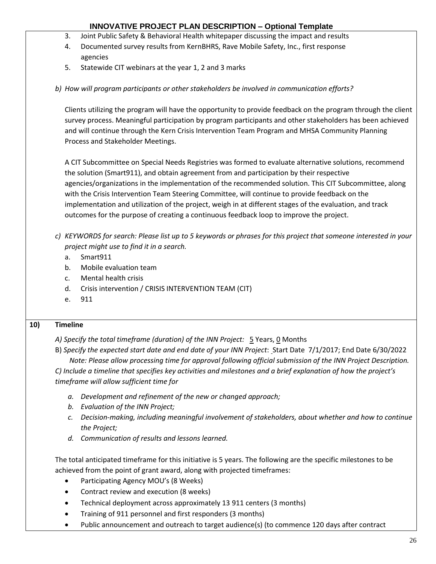- 3. Joint Public Safety & Behavioral Health whitepaper discussing the impact and results
- 4. Documented survey results from KernBHRS, Rave Mobile Safety, Inc., first response agencies
- 5. Statewide CIT webinars at the year 1, 2 and 3 marks
- *b) How will program participants or other stakeholders be involved in communication efforts?*

Clients utilizing the program will have the opportunity to provide feedback on the program through the client survey process. Meaningful participation by program participants and other stakeholders has been achieved and will continue through the Kern Crisis Intervention Team Program and MHSA Community Planning Process and Stakeholder Meetings.

A CIT Subcommittee on Special Needs Registries was formed to evaluate alternative solutions, recommend the solution (Smart911), and obtain agreement from and participation by their respective agencies/organizations in the implementation of the recommended solution. This CIT Subcommittee, along with the Crisis Intervention Team Steering Committee, will continue to provide feedback on the implementation and utilization of the project, weigh in at different stages of the evaluation, and track outcomes for the purpose of creating a continuous feedback loop to improve the project.

- *c) KEYWORDS for search: Please list up to 5 keywords or phrases for this project that someone interested in your project might use to find it in a search.* 
	- a. Smart911
	- b. Mobile evaluation team
	- c. Mental health crisis
	- d. Crisis intervention / CRISIS INTERVENTION TEAM (CIT)
	- e. 911

### **10) Timeline**

*A) Specify the total timeframe (duration) of the INN Project:* 5 Years, 0 Months

B) *Specify the expected start date and end date of your INN Project*: Start Date 7/1/2017; End Date 6/30/2022  *Note: Please allow processing time for approval following official submission of the INN Project Description.*

*C) Include a timeline that specifies key activities and milestones and a brief explanation of how the project's timeframe will allow sufficient time for* 

- *a. Development and refinement of the new or changed approach;*
- *b. Evaluation of the INN Project;*
- *c. Decision-making, including meaningful involvement of stakeholders, about whether and how to continue the Project;*
- *d. Communication of results and lessons learned.*

The total anticipated timeframe for this initiative is 5 years. The following are the specific milestones to be achieved from the point of grant award, along with projected timeframes:

- Participating Agency MOU's (8 Weeks)
- Contract review and execution (8 weeks)
- Technical deployment across approximately 13 911 centers (3 months)
- Training of 911 personnel and first responders (3 months)
- Public announcement and outreach to target audience(s) (to commence 120 days after contract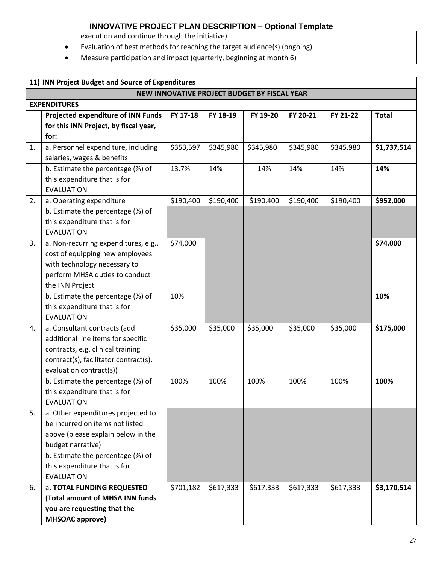execution and continue through the initiative)

- Evaluation of best methods for reaching the target audience(s) (ongoing)
- Measure participation and impact (quarterly, beginning at month 6)

| 11) INN Project Budget and Source of Expenditures |                                                                         |           |           |           |           |           |              |  |  |  |  |
|---------------------------------------------------|-------------------------------------------------------------------------|-----------|-----------|-----------|-----------|-----------|--------------|--|--|--|--|
| NEW INNOVATIVE PROJECT BUDGET BY FISCAL YEAR      |                                                                         |           |           |           |           |           |              |  |  |  |  |
| <b>EXPENDITURES</b>                               |                                                                         |           |           |           |           |           |              |  |  |  |  |
|                                                   | Projected expenditure of INN Funds                                      | FY 17-18  | FY 18-19  | FY 19-20  | FY 20-21  | FY 21-22  | <b>Total</b> |  |  |  |  |
|                                                   | for this INN Project, by fiscal year,                                   |           |           |           |           |           |              |  |  |  |  |
|                                                   | for:                                                                    |           |           |           |           |           |              |  |  |  |  |
| 1.                                                | a. Personnel expenditure, including                                     | \$353,597 | \$345,980 | \$345,980 | \$345,980 | \$345,980 | \$1,737,514  |  |  |  |  |
|                                                   | salaries, wages & benefits                                              |           |           |           |           |           |              |  |  |  |  |
|                                                   | b. Estimate the percentage (%) of                                       | 13.7%     | 14%       | 14%       | 14%       | 14%       | 14%          |  |  |  |  |
|                                                   | this expenditure that is for                                            |           |           |           |           |           |              |  |  |  |  |
|                                                   | <b>EVALUATION</b>                                                       |           |           |           |           |           |              |  |  |  |  |
| 2.                                                | a. Operating expenditure                                                | \$190,400 | \$190,400 | \$190,400 | \$190,400 | \$190,400 | \$952,000    |  |  |  |  |
|                                                   | b. Estimate the percentage (%) of                                       |           |           |           |           |           |              |  |  |  |  |
|                                                   | this expenditure that is for                                            |           |           |           |           |           |              |  |  |  |  |
|                                                   | <b>EVALUATION</b>                                                       |           |           |           |           |           |              |  |  |  |  |
| 3.                                                | a. Non-recurring expenditures, e.g.,                                    | \$74,000  |           |           |           |           | \$74,000     |  |  |  |  |
|                                                   | cost of equipping new employees                                         |           |           |           |           |           |              |  |  |  |  |
|                                                   | with technology necessary to                                            |           |           |           |           |           |              |  |  |  |  |
|                                                   | perform MHSA duties to conduct                                          |           |           |           |           |           |              |  |  |  |  |
|                                                   | the INN Project                                                         |           |           |           |           |           |              |  |  |  |  |
|                                                   | b. Estimate the percentage (%) of                                       | 10%       |           |           |           |           | 10%          |  |  |  |  |
|                                                   | this expenditure that is for                                            |           |           |           |           |           |              |  |  |  |  |
|                                                   | <b>EVALUATION</b>                                                       |           |           |           |           |           |              |  |  |  |  |
| 4.                                                | a. Consultant contracts (add                                            | \$35,000  | \$35,000  | \$35,000  | \$35,000  | \$35,000  | \$175,000    |  |  |  |  |
|                                                   | additional line items for specific<br>contracts, e.g. clinical training |           |           |           |           |           |              |  |  |  |  |
|                                                   | contract(s), facilitator contract(s),                                   |           |           |           |           |           |              |  |  |  |  |
|                                                   | evaluation contract(s))                                                 |           |           |           |           |           |              |  |  |  |  |
|                                                   | b. Estimate the percentage (%) of                                       | 100%      | 100%      | 100%      | 100%      | 100%      | 100%         |  |  |  |  |
|                                                   | this expenditure that is for                                            |           |           |           |           |           |              |  |  |  |  |
|                                                   | <b>EVALUATION</b>                                                       |           |           |           |           |           |              |  |  |  |  |
| 5.                                                | a. Other expenditures projected to                                      |           |           |           |           |           |              |  |  |  |  |
|                                                   | be incurred on items not listed                                         |           |           |           |           |           |              |  |  |  |  |
|                                                   | above (please explain below in the                                      |           |           |           |           |           |              |  |  |  |  |
|                                                   | budget narrative)                                                       |           |           |           |           |           |              |  |  |  |  |
|                                                   | b. Estimate the percentage (%) of                                       |           |           |           |           |           |              |  |  |  |  |
|                                                   | this expenditure that is for                                            |           |           |           |           |           |              |  |  |  |  |
|                                                   | <b>EVALUATION</b>                                                       |           |           |           |           |           |              |  |  |  |  |
| 6.                                                | a. TOTAL FUNDING REQUESTED                                              | \$701,182 | \$617,333 | \$617,333 | \$617,333 | \$617,333 | \$3,170,514  |  |  |  |  |
|                                                   | (Total amount of MHSA INN funds                                         |           |           |           |           |           |              |  |  |  |  |
|                                                   | you are requesting that the                                             |           |           |           |           |           |              |  |  |  |  |
|                                                   | <b>MHSOAC approve)</b>                                                  |           |           |           |           |           |              |  |  |  |  |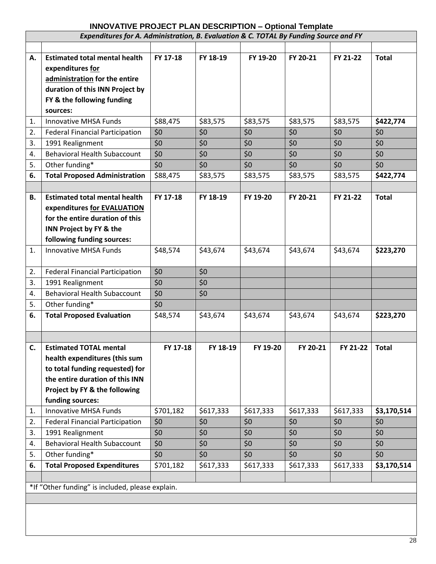| Expenditures for A. Administration, B. Evaluation & C. TOTAL By Funding Source and FY |                                                  |           |           |           |           |           |              |  |  |
|---------------------------------------------------------------------------------------|--------------------------------------------------|-----------|-----------|-----------|-----------|-----------|--------------|--|--|
|                                                                                       |                                                  |           |           |           |           |           |              |  |  |
| А.                                                                                    | <b>Estimated total mental health</b>             | FY 17-18  | FY 18-19  | FY 19-20  | FY 20-21  | FY 21-22  | <b>Total</b> |  |  |
|                                                                                       | expenditures for                                 |           |           |           |           |           |              |  |  |
|                                                                                       | administration for the entire                    |           |           |           |           |           |              |  |  |
|                                                                                       | duration of this INN Project by                  |           |           |           |           |           |              |  |  |
|                                                                                       | FY & the following funding                       |           |           |           |           |           |              |  |  |
|                                                                                       | sources:                                         |           |           |           |           |           |              |  |  |
| 1.                                                                                    | <b>Innovative MHSA Funds</b>                     | \$88,475  | \$83,575  | \$83,575  | \$83,575  | \$83,575  | \$422,774    |  |  |
| 2.                                                                                    | <b>Federal Financial Participation</b>           | \$0       | \$0       | \$0       | \$0       | \$0       | \$0          |  |  |
| 3.                                                                                    | 1991 Realignment                                 | \$0       | \$0       | \$0       | \$0       | \$0       | \$0          |  |  |
| 4.                                                                                    | <b>Behavioral Health Subaccount</b>              | \$0       | \$0       | \$0       | \$0       | \$0       | \$0          |  |  |
| 5.                                                                                    | Other funding*                                   | \$0       | \$0       | \$0       | \$0       | \$0       | \$0          |  |  |
| 6.                                                                                    | <b>Total Proposed Administration</b>             | \$88,475  | \$83,575  | \$83,575  | \$83,575  | \$83,575  | \$422,774    |  |  |
|                                                                                       |                                                  |           |           |           |           |           |              |  |  |
| В.                                                                                    | <b>Estimated total mental health</b>             | FY 17-18  | FY 18-19  | FY 19-20  | FY 20-21  | FY 21-22  | <b>Total</b> |  |  |
|                                                                                       | expenditures for EVALUATION                      |           |           |           |           |           |              |  |  |
|                                                                                       | for the entire duration of this                  |           |           |           |           |           |              |  |  |
|                                                                                       | INN Project by FY & the                          |           |           |           |           |           |              |  |  |
|                                                                                       | following funding sources:                       |           |           |           |           |           |              |  |  |
| 1.                                                                                    | <b>Innovative MHSA Funds</b>                     | \$48,574  | \$43,674  | \$43,674  | \$43,674  | \$43,674  | \$223,270    |  |  |
|                                                                                       |                                                  |           |           |           |           |           |              |  |  |
| 2.                                                                                    | <b>Federal Financial Participation</b>           | \$0       | \$0       |           |           |           |              |  |  |
| 3.                                                                                    | 1991 Realignment                                 | \$0       | \$0       |           |           |           |              |  |  |
| 4.                                                                                    | <b>Behavioral Health Subaccount</b>              | \$0       | \$0       |           |           |           |              |  |  |
| 5.                                                                                    | Other funding*                                   | \$0       |           |           |           |           |              |  |  |
| 6.                                                                                    | <b>Total Proposed Evaluation</b>                 | \$48,574  | \$43,674  | \$43,674  | \$43,674  | \$43,674  | \$223,270    |  |  |
|                                                                                       |                                                  |           |           |           |           |           |              |  |  |
| C.                                                                                    | <b>Estimated TOTAL mental</b>                    | FY 17-18  | FY 18-19  | FY 19-20  | FY 20-21  | FY 21-22  | Total        |  |  |
|                                                                                       | health expenditures (this sum                    |           |           |           |           |           |              |  |  |
|                                                                                       | to total funding requested) for                  |           |           |           |           |           |              |  |  |
|                                                                                       | the entire duration of this INN                  |           |           |           |           |           |              |  |  |
|                                                                                       | Project by FY & the following                    |           |           |           |           |           |              |  |  |
|                                                                                       | funding sources:                                 |           |           |           |           |           |              |  |  |
| 1.                                                                                    | <b>Innovative MHSA Funds</b>                     | \$701,182 | \$617,333 | \$617,333 | \$617,333 | \$617,333 | \$3,170,514  |  |  |
| 2.                                                                                    | <b>Federal Financial Participation</b>           | \$0       | \$0       | \$0       | \$0       | \$0       | \$0          |  |  |
| 3.                                                                                    | 1991 Realignment                                 | \$0       | \$0       | \$0       | \$0       | \$0       | \$0          |  |  |
| 4.                                                                                    | <b>Behavioral Health Subaccount</b>              | \$0       | \$0       | \$0       | \$0       | \$0       | \$0          |  |  |
| 5.                                                                                    | Other funding*                                   | \$0       | \$0       | \$0       | \$0       | \$0       | \$0          |  |  |
| 6.                                                                                    | <b>Total Proposed Expenditures</b>               | \$701,182 | \$617,333 | \$617,333 | \$617,333 | \$617,333 | \$3,170,514  |  |  |
|                                                                                       |                                                  |           |           |           |           |           |              |  |  |
|                                                                                       | *If "Other funding" is included, please explain. |           |           |           |           |           |              |  |  |
|                                                                                       |                                                  |           |           |           |           |           |              |  |  |
|                                                                                       |                                                  |           |           |           |           |           |              |  |  |
|                                                                                       |                                                  |           |           |           |           |           |              |  |  |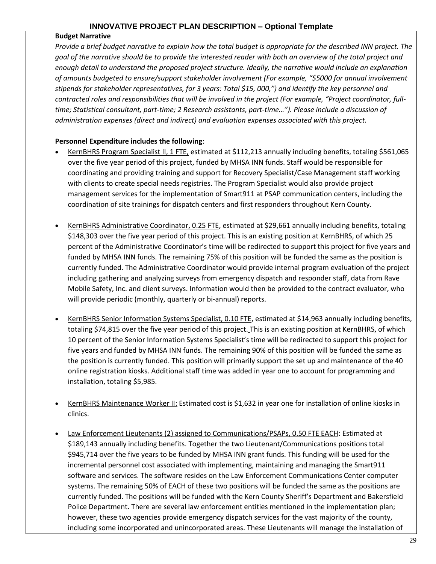#### **Budget Narrative**

*Provide a brief budget narrative to explain how the total budget is appropriate for the described INN project. The goal of the narrative should be to provide the interested reader with both an overview of the total project and enough detail to understand the proposed project structure. Ideally, the narrative would include an explanation of amounts budgeted to ensure/support stakeholder involvement (For example, "\$5000 for annual involvement stipends for stakeholder representatives, for 3 years: Total \$15, 000,") and identify the key personnel and contracted roles and responsibilities that will be involved in the project (For example, "Project coordinator, fulltime; Statistical consultant, part-time; 2 Research assistants, part-time…"). Please include a discussion of administration expenses (direct and indirect) and evaluation expenses associated with this project.* 

### **Personnel Expenditure includes the following**:

- KernBHRS Program Specialist II, 1 FTE, estimated at \$112,213 annually including benefits, totaling \$561,065 over the five year period of this project, funded by MHSA INN funds. Staff would be responsible for coordinating and providing training and support for Recovery Specialist/Case Management staff working with clients to create special needs registries. The Program Specialist would also provide project management services for the implementation of Smart911 at PSAP communication centers, including the coordination of site trainings for dispatch centers and first responders throughout Kern County.
- KernBHRS Administrative Coordinator, 0.25 FTE, estimated at \$29,661 annually including benefits, totaling \$148,303 over the five year period of this project. This is an existing position at KernBHRS, of which 25 percent of the Administrative Coordinator's time will be redirected to support this project for five years and funded by MHSA INN funds. The remaining 75% of this position will be funded the same as the position is currently funded. The Administrative Coordinator would provide internal program evaluation of the project including gathering and analyzing surveys from emergency dispatch and responder staff, data from Rave Mobile Safety, Inc. and client surveys. Information would then be provided to the contract evaluator, who will provide periodic (monthly, quarterly or bi-annual) reports.
- KernBHRS Senior Information Systems Specialist, 0.10 FTE, estimated at \$14,963 annually including benefits, totaling \$74,815 over the five year period of this project. This is an existing position at KernBHRS, of which 10 percent of the Senior Information Systems Specialist's time will be redirected to support this project for five years and funded by MHSA INN funds. The remaining 90% of this position will be funded the same as the position is currently funded. This position will primarily support the set up and maintenance of the 40 online registration kiosks. Additional staff time was added in year one to account for programming and installation, totaling \$5,985.
- KernBHRS Maintenance Worker II: Estimated cost is \$1,632 in year one for installation of online kiosks in clinics.
- Law Enforcement Lieutenants (2) assigned to Communications/PSAPs, 0.50 FTE EACH: Estimated at \$189,143 annually including benefits. Together the two Lieutenant/Communications positions total \$945,714 over the five years to be funded by MHSA INN grant funds. This funding will be used for the incremental personnel cost associated with implementing, maintaining and managing the Smart911 software and services. The software resides on the Law Enforcement Communications Center computer systems. The remaining 50% of EACH of these two positions will be funded the same as the positions are currently funded. The positions will be funded with the Kern County Sheriff's Department and Bakersfield Police Department. There are several law enforcement entities mentioned in the implementation plan; however, these two agencies provide emergency dispatch services for the vast majority of the county, including some incorporated and unincorporated areas. These Lieutenants will manage the installation of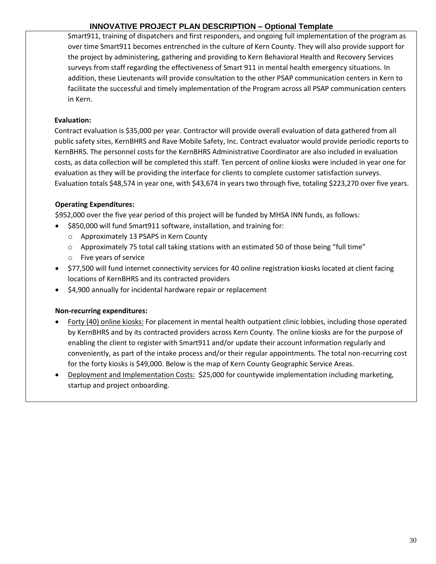Smart911, training of dispatchers and first responders, and ongoing full implementation of the program as over time Smart911 becomes entrenched in the culture of Kern County. They will also provide support for the project by administering, gathering and providing to Kern Behavioral Health and Recovery Services surveys from staff regarding the effectiveness of Smart 911 in mental health emergency situations. In addition, these Lieutenants will provide consultation to the other PSAP communication centers in Kern to facilitate the successful and timely implementation of the Program across all PSAP communication centers in Kern.

### **Evaluation:**

Contract evaluation is \$35,000 per year. Contractor will provide overall evaluation of data gathered from all public safety sites, KernBHRS and Rave Mobile Safety, Inc. Contract evaluator would provide periodic reports to KernBHRS. The personnel costs for the KernBHRS Administrative Coordinator are also included in evaluation costs, as data collection will be completed this staff. Ten percent of online kiosks were included in year one for evaluation as they will be providing the interface for clients to complete customer satisfaction surveys. Evaluation totals \$48,574 in year one, with \$43,674 in years two through five, totaling \$223,270 over five years.

### **Operating Expenditures:**

\$952,000 over the five year period of this project will be funded by MHSA INN funds, as follows:

- \$850,000 will fund Smart911 software, installation, and training for:
	- o Approximately 13 PSAPS in Kern County
	- o Approximately 75 total call taking stations with an estimated 50 of those being "full time"
	- o Five years of service
- \$77,500 will fund internet connectivity services for 40 online registration kiosks located at client facing locations of KernBHRS and its contracted providers
- \$4,900 annually for incidental hardware repair or replacement

### **Non-recurring expenditures:**

- Forty (40) online kiosks: For placement in mental health outpatient clinic lobbies, including those operated by KernBHRS and by its contracted providers across Kern County. The online kiosks are for the purpose of enabling the client to register with Smart911 and/or update their account information regularly and conveniently, as part of the intake process and/or their regular appointments. The total non-recurring cost for the forty kiosks is \$49,000. Below is the map of Kern County Geographic Service Areas.
- Deployment and Implementation Costs: \$25,000 for countywide implementation including marketing, startup and project onboarding.